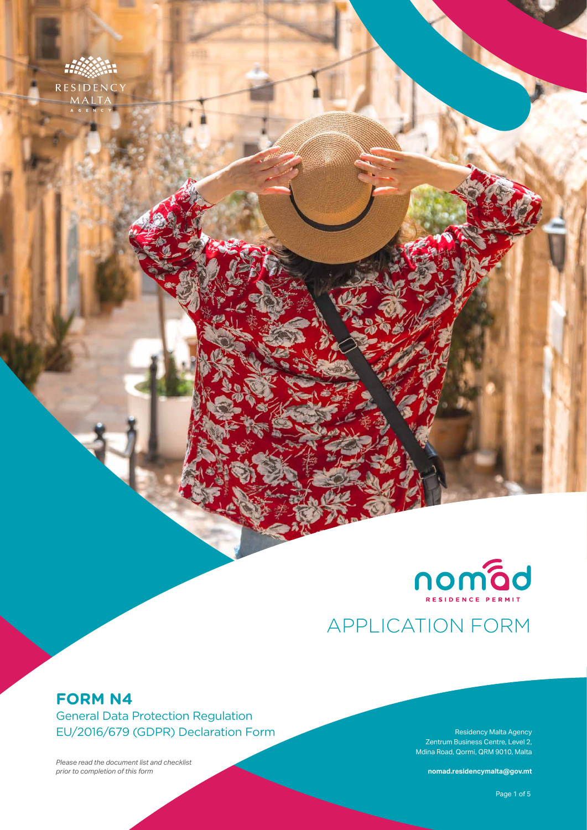



# APPLICATION FORM

## **FORM N4**

General Data Protection Regulation EU/2016/679 (GDPR) Declaration Form

*Please read the document list and checklist prior to completion of this form*

Zentrum Business Centre, Level 2, Mdina Road, Qormi, QRM 9010, Malta

**nomad.residencymalta@gov.mt**

**Form N4** – General Data Protection Regulation (GDPR) Declaration Form Page 1 of 5 Page 1 of 5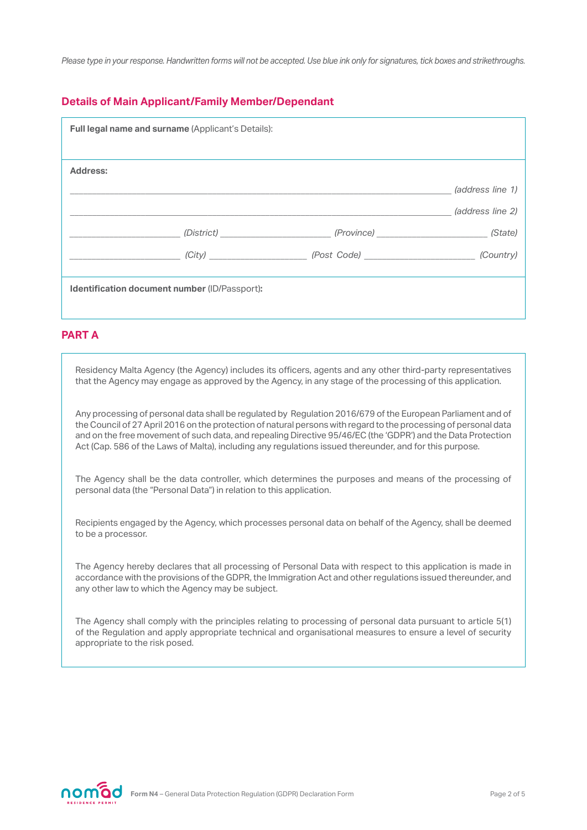*Please type in your response. Handwritten forms will not be accepted. Use blue ink only for signatures, tick boxes and strikethroughs.*

#### **Details of Main Applicant/Family Member/Dependant**

| Full legal name and surname (Applicant's Details): |  |                  |
|----------------------------------------------------|--|------------------|
| Address:                                           |  |                  |
|                                                    |  | (address line 1) |
|                                                    |  | (address line 2) |
|                                                    |  |                  |
|                                                    |  |                  |
|                                                    |  |                  |
| Identification document number (ID/Passport):      |  |                  |
|                                                    |  |                  |

#### **PART A**

Residency Malta Agency (the Agency) includes its officers, agents and any other third-party representatives that the Agency may engage as approved by the Agency, in any stage of the processing of this application.

Any processing of personal data shall be regulated by Regulation 2016/679 of the European Parliament and of the Council of 27 April 2016 on the protection of natural persons with regard to the processing of personal data and on the free movement of such data, and repealing Directive 95/46/EC (the 'GDPR') and the Data Protection Act (Cap. 586 of the Laws of Malta), including any regulations issued thereunder, and for this purpose.

The Agency shall be the data controller, which determines the purposes and means of the processing of personal data (the "Personal Data") in relation to this application.

Recipients engaged by the Agency, which processes personal data on behalf of the Agency, shall be deemed to be a processor.

The Agency hereby declares that all processing of Personal Data with respect to this application is made in accordance with the provisions of the GDPR, the Immigration Act and other regulations issued thereunder, and any other law to which the Agency may be subject.

The Agency shall comply with the principles relating to processing of personal data pursuant to article 5(1) of the Regulation and apply appropriate technical and organisational measures to ensure a level of security appropriate to the risk posed.

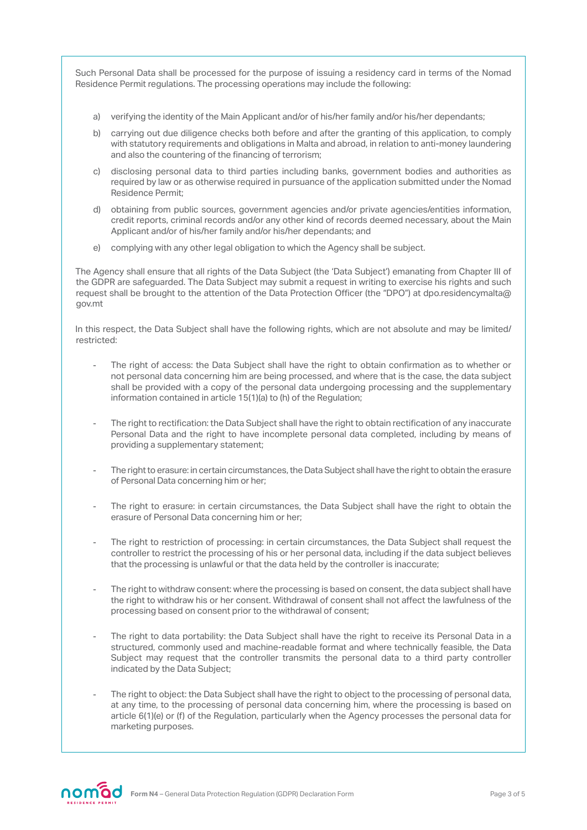Such Personal Data shall be processed for the purpose of issuing a residency card in terms of the Nomad Residence Permit regulations. The processing operations may include the following:

- a) verifying the identity of the Main Applicant and/or of his/her family and/or his/her dependants;
- b) carrying out due diligence checks both before and after the granting of this application, to comply with statutory requirements and obligations in Malta and abroad, in relation to anti-money laundering and also the countering of the financing of terrorism;
- c) disclosing personal data to third parties including banks, government bodies and authorities as required by law or as otherwise required in pursuance of the application submitted under the Nomad Residence Permit;
- d) obtaining from public sources, government agencies and/or private agencies/entities information, credit reports, criminal records and/or any other kind of records deemed necessary, about the Main Applicant and/or of his/her family and/or his/her dependants; and
- e) complying with any other legal obligation to which the Agency shall be subject.

The Agency shall ensure that all rights of the Data Subject (the 'Data Subject') emanating from Chapter III of the GDPR are safeguarded. The Data Subject may submit a request in writing to exercise his rights and such request shall be brought to the attention of the Data Protection Officer (the "DPO") at dpo.residencymalta@ gov.mt

In this respect, the Data Subject shall have the following rights, which are not absolute and may be limited/ restricted:

- The right of access: the Data Subject shall have the right to obtain confirmation as to whether or not personal data concerning him are being processed, and where that is the case, the data subject shall be provided with a copy of the personal data undergoing processing and the supplementary information contained in article 15(1)(a) to (h) of the Regulation;
- The right to rectification: the Data Subject shall have the right to obtain rectification of any inaccurate Personal Data and the right to have incomplete personal data completed, including by means of providing a supplementary statement;
- The right to erasure: in certain circumstances, the Data Subject shall have the right to obtain the erasure of Personal Data concerning him or her;
- The right to erasure: in certain circumstances, the Data Subject shall have the right to obtain the erasure of Personal Data concerning him or her;
- The right to restriction of processing: in certain circumstances, the Data Subject shall request the controller to restrict the processing of his or her personal data, including if the data subject believes that the processing is unlawful or that the data held by the controller is inaccurate;
- The right to withdraw consent: where the processing is based on consent, the data subject shall have the right to withdraw his or her consent. Withdrawal of consent shall not affect the lawfulness of the processing based on consent prior to the withdrawal of consent;
- The right to data portability: the Data Subject shall have the right to receive its Personal Data in a structured, commonly used and machine-readable format and where technically feasible, the Data Subject may request that the controller transmits the personal data to a third party controller indicated by the Data Subject;
- The right to object: the Data Subject shall have the right to object to the processing of personal data, at any time, to the processing of personal data concerning him, where the processing is based on article 6(1)(e) or (f) of the Regulation, particularly when the Agency processes the personal data for marketing purposes.

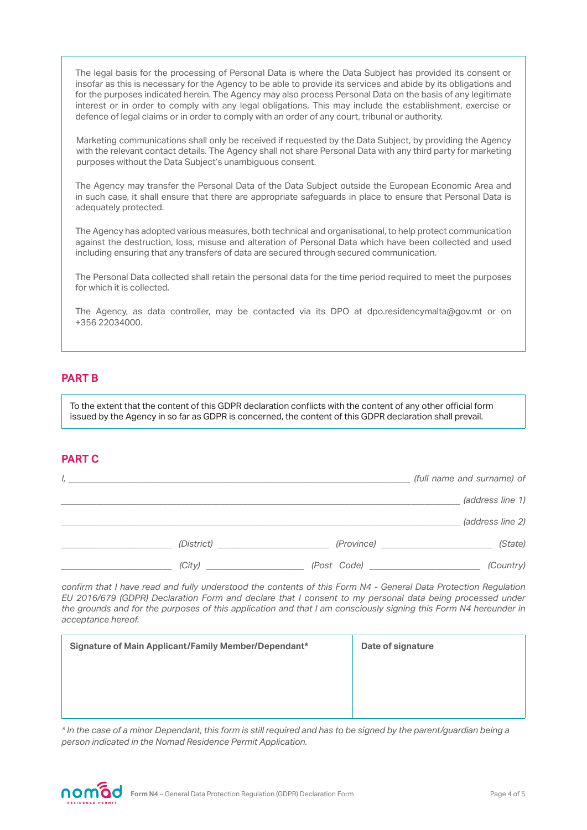The legal basis for the processing of Personal Data is where the Data Subject has provided its consent or insofar as this is necessary for the Agency to be able to provide its services and abide by its obligations and for the purposes indicated herein. The Agency may also process Personal Data on the basis of any legitimate interest or in order to comply with any legal obligations. This may include the establishment, exercise or defence of legal claims or in order to comply with an order of any court, tribunal or authority.

Marketing communications shall only be received if requested by the Data Subject, by providing the Agency with the relevant contact details. The Agency shall not share Personal Data with any third party for marketing purposes without the Data Subject's unambiguous consent.

The Agency may transfer the Personal Data of the Data Subject outside the European Economic Area and in such case, it shall ensure that there are appropriate safeguards in place to ensure that Personal Data is adequately protected.

The Agency has adopted various measures, both technical and organisational, to help protect communication against the destruction, loss, misuse and alteration of Personal Data which have been collected and used including ensuring that any transfers of data are secured through secured communication.

The Personal Data collected shall retain the personal data for the time period required to meet the purposes for which it is collected.

The Agency, as data controller, may be contacted via its DPO at dpo.residencymalta@gov.mt or on +356 22034000.

#### **PART B**

To the extent that the content of this GDPR declaration conflicts with the content of any other official form issued by the Agency in so far as GDPR is concerned, the content of this GDPR declaration shall prevail.

#### **PART C**

| (full name and surname) of | ι,         |
|----------------------------|------------|
| (address line 1)           |            |
| (address line 2)           |            |
| (State)<br>(Province)      | (District) |
| (Country)<br>(Post Code)   | (City)     |

*confirm that I have read and fully understood the contents of this Form N4 - General Data Protection Regulation EU 2016/679 (GDPR) Declaration Form and declare that I consent to my personal data being processed under the grounds and for the purposes of this application and that I am consciously signing this Form N4 hereunder in acceptance hereof.*

| Signature of Main Applicant/Family Member/Dependant* | Date of signature |
|------------------------------------------------------|-------------------|
|                                                      |                   |
|                                                      |                   |
|                                                      |                   |

*\* In the case of a minor Dependant, this form is still required and has to be signed by the parent/guardian being a person indicated in the Nomad Residence Permit Application.*